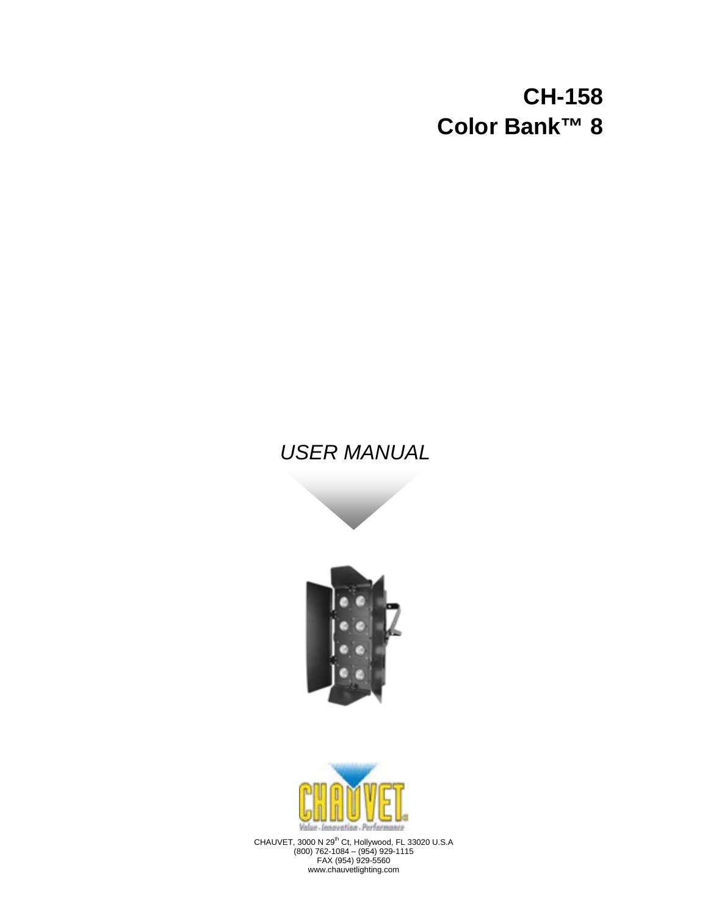## **CH-158 Color Bank™ 8**

## *USER MANUAL*





CHAUVET, 3000 N 29<sup>th</sup> Ct, Hollywood, FL 33020 U.S.A (800) 762-1084 – (954) 929-1115 FAX (954) 929-5560 www.chauvetlighting.com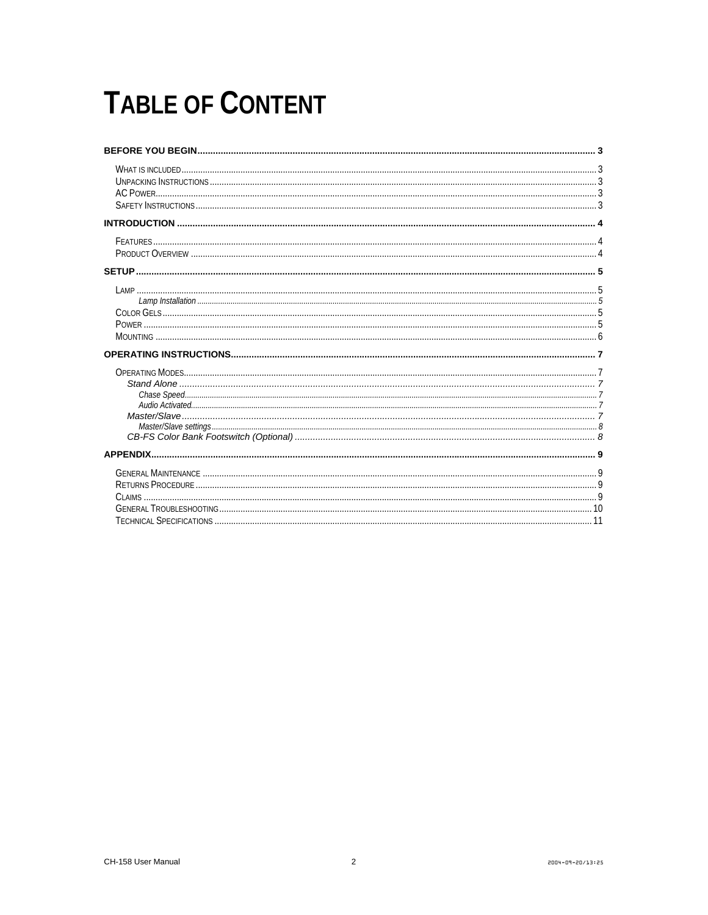# **TABLE OF CONTENT**

| <b>APPENDIX.</b> |  |
|------------------|--|
|                  |  |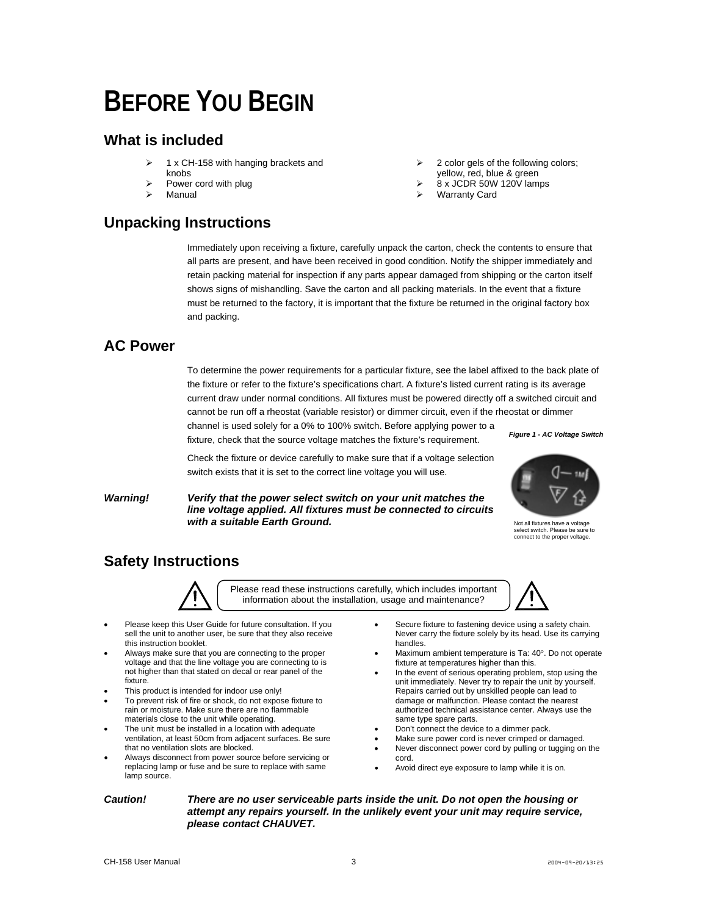# <span id="page-2-0"></span>**BEFORE YOU BEGIN**

### <span id="page-2-1"></span>**What is included**

- ¾ 1 x CH-158 with hanging brackets and knobs
- Power cord with plug
- ¾ Manual

### <span id="page-2-2"></span>**Unpacking Instructions**

- ¾ 2 color gels of the following colors; yellow, red, blue & green
- ¾ 8 x JCDR 50W 120V lamps
- **Warranty Card**

Immediately upon receiving a fixture, carefully unpack the carton, check the contents to ensure that all parts are present, and have been received in good condition. Notify the shipper immediately and retain packing material for inspection if any parts appear damaged from shipping or the carton itself shows signs of mishandling. Save the carton and all packing materials. In the event that a fixture must be returned to the factory, it is important that the fixture be returned in the original factory box and packing.

### <span id="page-2-3"></span>**AC Power**

To determine the power requirements for a particular fixture, see the label affixed to the back plate of the fixture or refer to the fixture's specifications chart. A fixture's listed current rating is its average current draw under normal conditions. All fixtures must be powered directly off a switched circuit and cannot be run off a rheostat (variable resistor) or dimmer circuit, even if the rheostat or dimmer

channel is used solely for a 0% to 100% switch. Before applying power to a fixture, check that the source voltage matches the fixture's requirement.

*Figure 1 - AC Voltage Switch* 

Check the fixture or device carefully to make sure that if a voltage selection switch exists that it is set to the correct line voltage you will use.

*Warning! Verify that the power select switch on your unit matches the line voltage applied. All fixtures must be connected to circuits with a suitable Earth Ground.* 



Not all fixtures have a voltage select switch. Please be sure to connect to the proper voltage.

## <span id="page-2-4"></span>**Safety Instructions**



Please read these instructions carefully, which includes important information about the installation, usage and maintenance?

- Please keep this User Guide for future consultation. If you sell the unit to another user, be sure that they also receive this instruction booklet.
- Always make sure that you are connecting to the proper voltage and that the line voltage you are connecting to is not higher than that stated on decal or rear panel of the fixture.
- This product is intended for indoor use only!
- To prevent risk of fire or shock, do not expose fixture to rain or moisture. Make sure there are no flammable materials close to the unit while operating.
- The unit must be installed in a location with adequate ventilation, at least 50cm from adjacent surfaces. Be sure that no ventilation slots are blocked.
- Always disconnect from power source before servicing or replacing lamp or fuse and be sure to replace with same lamp source.
- Secure fixture to fastening device using a safety chain. Never carry the fixture solely by its head. Use its carrying handles.
- Maximum ambient temperature is Ta: 40°. Do not operate fixture at temperatures higher than this.
- In the event of serious operating problem, stop using the unit immediately. Never try to repair the unit by yourself. Repairs carried out by unskilled people can lead to damage or malfunction. Please contact the nearest authorized technical assistance center. Always use the same type spare parts.
- Don't connect the device to a dimmer pack.
- Make sure power cord is never crimped or damaged.
- Never disconnect power cord by pulling or tugging on the cord.
- Avoid direct eye exposure to lamp while it is on.

*Caution! There are no user serviceable parts inside the unit. Do not open the housing or attempt any repairs yourself. In the unlikely event your unit may require service, please contact CHAUVET.*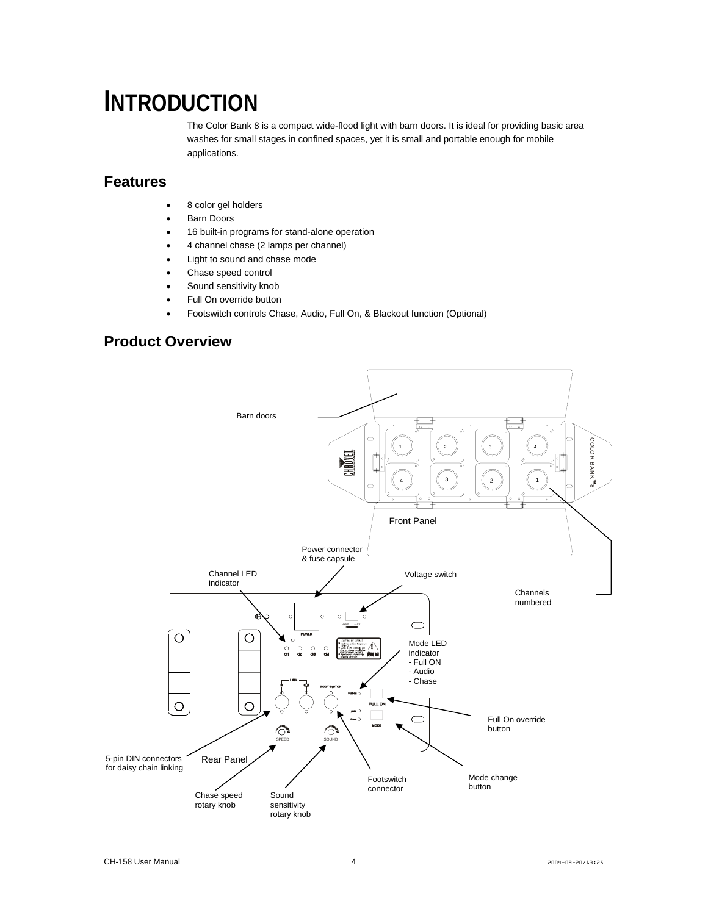## <span id="page-3-0"></span>**INTRODUCTION**

The Color Bank 8 is a compact wide-flood light with barn doors. It is ideal for providing basic area washes for small stages in confined spaces, yet it is small and portable enough for mobile applications.

#### <span id="page-3-1"></span>**Features**

- 8 color gel holders
- Barn Doors
- 16 built-in programs for stand-alone operation
- 4 channel chase (2 lamps per channel)
- Light to sound and chase mode
- Chase speed control
- Sound sensitivity knob
- Full On override button
- Footswitch controls Chase, Audio, Full On, & Blackout function (Optional)

### <span id="page-3-2"></span>**Product Overview**

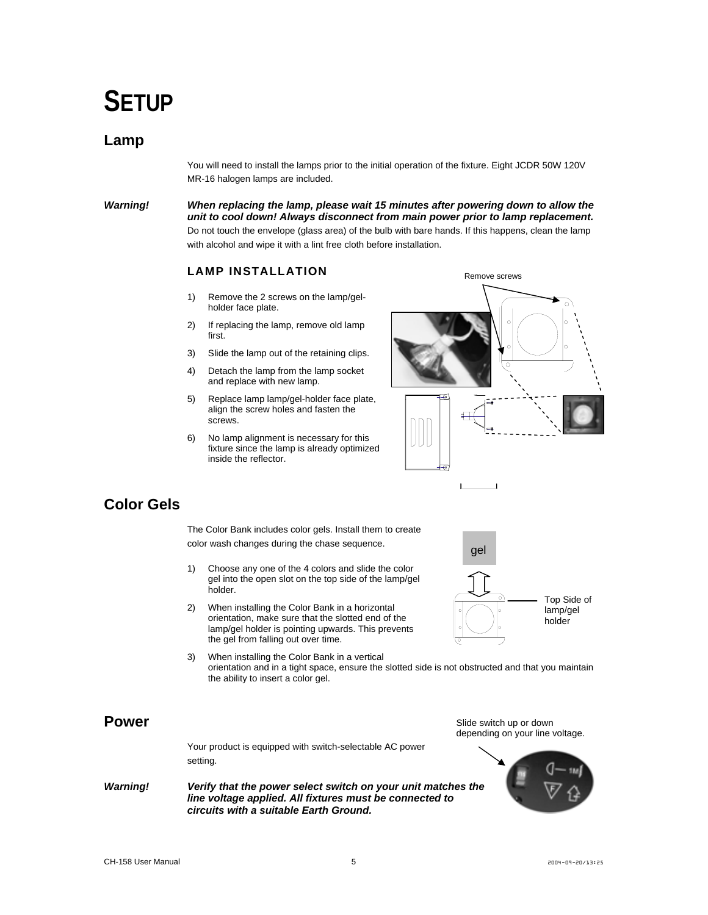## <span id="page-4-0"></span>**SETUP**

#### <span id="page-4-1"></span>**Lamp**

You will need to install the lamps prior to the initial operation of the fixture. Eight JCDR 50W 120V MR-16 halogen lamps are included.

*Warning! When replacing the lamp, please wait 15 minutes after powering down to allow the unit to cool down! Always disconnect from main power prior to lamp replacement.*  Do not touch the envelope (glass area) of the bulb with bare hands. If this happens, clean the lamp with alcohol and wipe it with a lint free cloth before installation.

#### **LAMP INSTALLATION**

- <span id="page-4-2"></span>1) Remove the 2 screws on the lamp/gelholder face plate.
- 2) If replacing the lamp, remove old lamp first.
- 3) Slide the lamp out of the retaining clips.
- 4) Detach the lamp from the lamp socket and replace with new lamp.
- 5) Replace lamp lamp/gel-holder face plate, align the screw holes and fasten the screws.
- 6) No lamp alignment is necessary for this fixture since the lamp is already optimized inside the reflector.



### <span id="page-4-3"></span>**Color Gels**

The Color Bank includes color gels. Install them to create color wash changes during the chase sequence.

- 1) Choose any one of the 4 colors and slide the color gel into the open slot on the top side of the lamp/gel holder.
- 2) When installing the Color Bank in a horizontal orientation, make sure that the slotted end of the lamp/gel holder is pointing upwards. This prevents the gel from falling out over time.
- 3) When installing the Color Bank in a vertical orientation and in a tight space, ensure the slotted side is not obstructed and that you maintain the ability to insert a color gel.

#### <span id="page-4-4"></span>**Power**

Your product is equipped with switch-selectable AC power setting.

*Warning! Verify that the power select switch on your unit matches the line voltage applied. All fixtures must be connected to circuits with a suitable Earth Ground.* 



Slide switch up or down depending on your line voltage.

Top Side of lamp/gel holder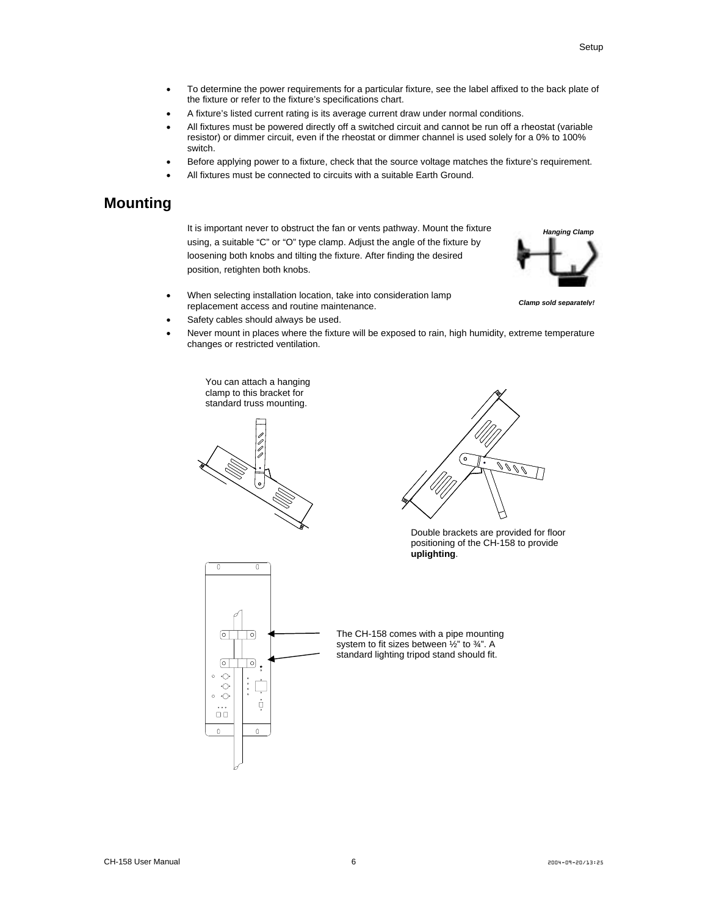- To determine the power requirements for a particular fixture, see the label affixed to the back plate of the fixture or refer to the fixture's specifications chart.
- A fixture's listed current rating is its average current draw under normal conditions.
- All fixtures must be powered directly off a switched circuit and cannot be run off a rheostat (variable resistor) or dimmer circuit, even if the rheostat or dimmer channel is used solely for a 0% to 100% switch.
- Before applying power to a fixture, check that the source voltage matches the fixture's requirement.
- All fixtures must be connected to circuits with a suitable Earth Ground.

#### <span id="page-5-0"></span>**Mounting**

It is important never to obstruct the fan or vents pathway. Mount the fixture using, a suitable "C" or "O" type clamp. Adjust the angle of the fixture by loosening both knobs and tilting the fixture. After finding the desired position, retighten both knobs.



*Clamp sold separately!*

- When selecting installation location, take into consideration lamp replacement access and routine maintenance.
- Safety cables should always be used.
- Never mount in places where the fixture will be exposed to rain, high humidity, extreme temperature changes or restricted ventilation.

You can attach a hanging clamp to this bracket for standard truss mounting.



 $\overline{0}$ 

ाि

⊡

្នុ

 $\mathbf 0$ 

 $\overline{0}$ 

 $\boxed{\circ}$ 

 $\lceil \circ \rceil$ 

 $\Diamond$  $\circ$  $\Diamond$  $\Diamond$  $\circ$ 

> $\overline{\square}$  $\boldsymbol{0}$



Double brackets are provided for floor positioning of the CH-158 to provide **uplighting**.

The CH-158 comes with a pipe mounting system to fit sizes between  $\frac{1}{2}$ " to  $\frac{3}{4}$ ". A standard lighting tripod stand should fit.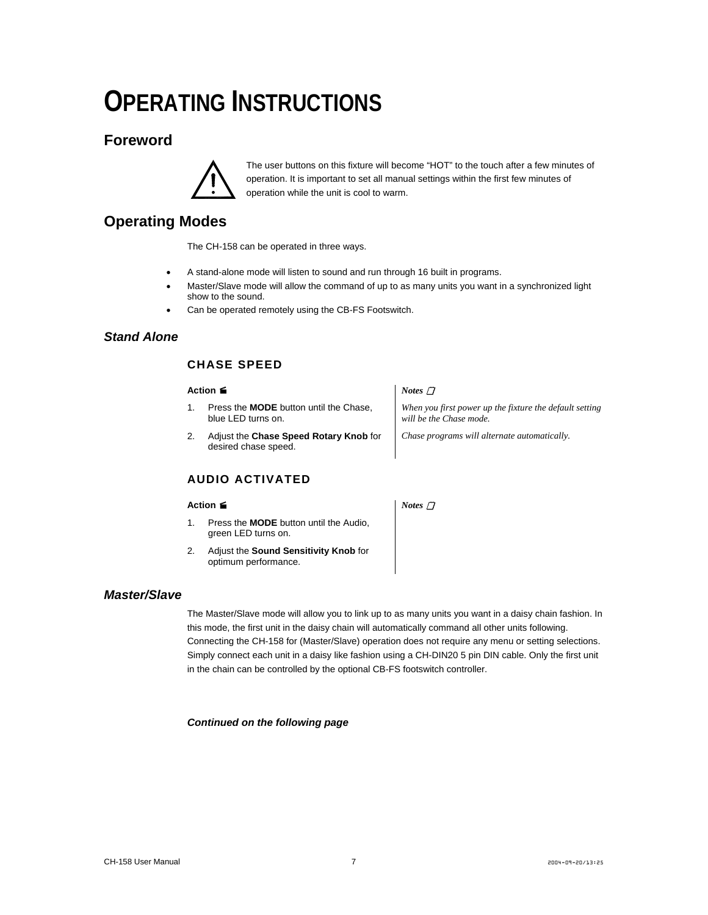# <span id="page-6-0"></span>**OPERATING INSTRUCTIONS**

### <span id="page-6-1"></span>**Foreword**



The user buttons on this fixture will become "HOT" to the touch after a few minutes of operation. It is important to set all manual settings within the first few minutes of operation while the unit is cool to warm.

### **Operating Modes**

The CH-158 can be operated in three ways.

- A stand-alone mode will listen to sound and run through 16 built in programs.
- Master/Slave mode will allow the command of up to as many units you want in a synchronized light show to the sound.
- Can be operated remotely using the CB-FS Footswitch.

#### <span id="page-6-2"></span>*Stand Alone*

#### <span id="page-6-3"></span>**CHASE SPEED**

#### **Action**

- 1. Press the **MODE** button until the Chase, blue LED turns on.
- 2. Adjust the **Chase Speed Rotary Knob** for desired chase speed.

#### <span id="page-6-4"></span>**AUDIO ACTIVATED**

#### **Action**

- 1. Press the **MODE** button until the Audio, green LED turns on.
- 2. Adjust the **Sound Sensitivity Knob** for optimum performance.

#### *Notes*

*When you first power up the fixture the default setting will be the Chase mode.* 

*Chase programs will alternate automatically.* 

*Notes* 

#### <span id="page-6-5"></span>*Master/Slave*

The Master/Slave mode will allow you to link up to as many units you want in a daisy chain fashion. In this mode, the first unit in the daisy chain will automatically command all other units following. Connecting the CH-158 for (Master/Slave) operation does not require any menu or setting selections. Simply connect each unit in a daisy like fashion using a CH-DIN20 5 pin DIN cable. Only the first unit in the chain can be controlled by the optional CB-FS footswitch controller.

*Continued on the following page*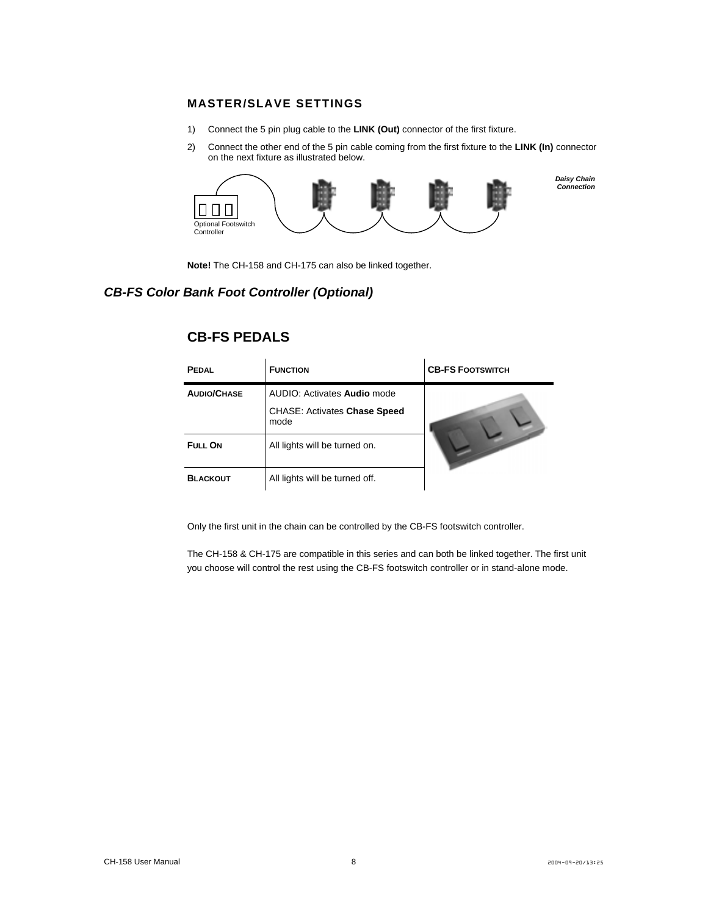#### **MASTER/SLAVE SETTINGS**

- 1) Connect the 5 pin plug cable to the **LINK (Out)** connector of the first fixture.
- 2) Connect the other end of the 5 pin cable coming from the first fixture to the **LINK (In)** connector on the next fixture as illustrated below.



 *Daisy Chain Connection*

**Note!** The CH-158 and CH-175 can also be linked together.

#### <span id="page-7-1"></span>*CB-FS Color Bank Foot Controller (Optional)*

| <b>PEDAL</b>       | <b>FUNCTION</b>                             | <b>CB-FS FOOTSWITCH</b> |
|--------------------|---------------------------------------------|-------------------------|
| <b>AUDIO/CHASE</b> | AUDIO: Activates Audio mode                 |                         |
|                    | <b>CHASE: Activates Chase Speed</b><br>mode |                         |
| FULL ON            | All lights will be turned on.               |                         |
| <b>BLACKOUT</b>    | All lights will be turned off.              |                         |

#### **CB-FS PEDALS**

Only the first unit in the chain can be controlled by the CB-FS footswitch controller.

<span id="page-7-0"></span>The CH-158 & CH-175 are compatible in this series and can both be linked together. The first unit you choose will control the rest using the CB-FS footswitch controller or in stand-alone mode.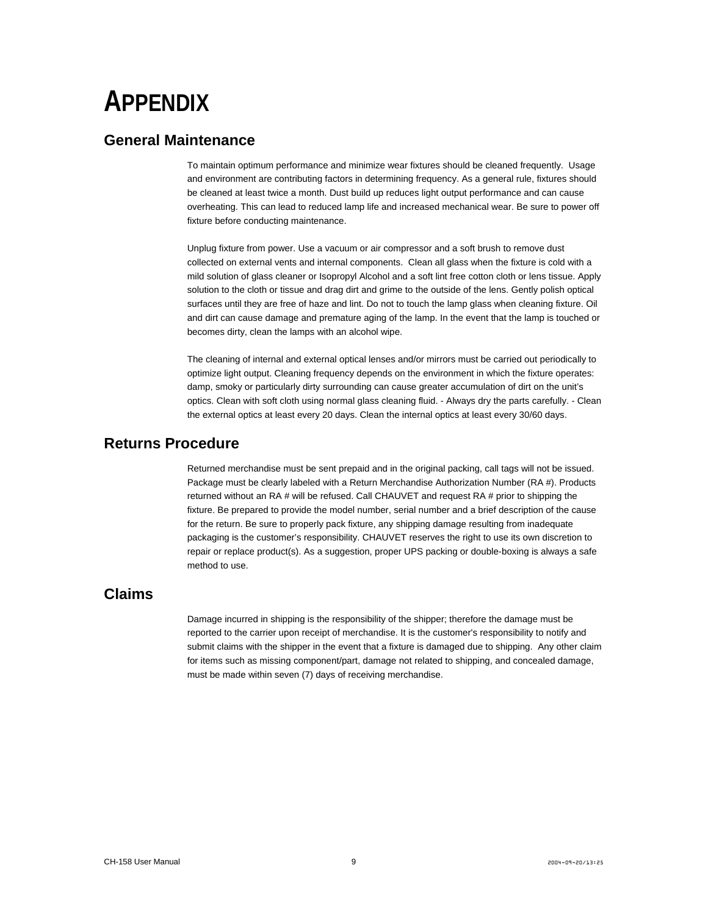# <span id="page-8-0"></span>**APPENDIX**

#### <span id="page-8-1"></span>**General Maintenance**

To maintain optimum performance and minimize wear fixtures should be cleaned frequently. Usage and environment are contributing factors in determining frequency. As a general rule, fixtures should be cleaned at least twice a month. Dust build up reduces light output performance and can cause overheating. This can lead to reduced lamp life and increased mechanical wear. Be sure to power off fixture before conducting maintenance.

Unplug fixture from power. Use a vacuum or air compressor and a soft brush to remove dust collected on external vents and internal components. Clean all glass when the fixture is cold with a mild solution of glass cleaner or Isopropyl Alcohol and a soft lint free cotton cloth or lens tissue. Apply solution to the cloth or tissue and drag dirt and grime to the outside of the lens. Gently polish optical surfaces until they are free of haze and lint. Do not to touch the lamp glass when cleaning fixture. Oil and dirt can cause damage and premature aging of the lamp. In the event that the lamp is touched or becomes dirty, clean the lamps with an alcohol wipe.

The cleaning of internal and external optical lenses and/or mirrors must be carried out periodically to optimize light output. Cleaning frequency depends on the environment in which the fixture operates: damp, smoky or particularly dirty surrounding can cause greater accumulation of dirt on the unit's optics. Clean with soft cloth using normal glass cleaning fluid. - Always dry the parts carefully. - Clean the external optics at least every 20 days. Clean the internal optics at least every 30/60 days.

### <span id="page-8-2"></span>**Returns Procedure**

Returned merchandise must be sent prepaid and in the original packing, call tags will not be issued. Package must be clearly labeled with a Return Merchandise Authorization Number (RA #). Products returned without an RA # will be refused. Call CHAUVET and request RA # prior to shipping the fixture. Be prepared to provide the model number, serial number and a brief description of the cause for the return. Be sure to properly pack fixture, any shipping damage resulting from inadequate packaging is the customer's responsibility. CHAUVET reserves the right to use its own discretion to repair or replace product(s). As a suggestion, proper UPS packing or double-boxing is always a safe method to use.

#### <span id="page-8-3"></span>**Claims**

Damage incurred in shipping is the responsibility of the shipper; therefore the damage must be reported to the carrier upon receipt of merchandise. It is the customer's responsibility to notify and submit claims with the shipper in the event that a fixture is damaged due to shipping. Any other claim for items such as missing component/part, damage not related to shipping, and concealed damage, must be made within seven (7) days of receiving merchandise.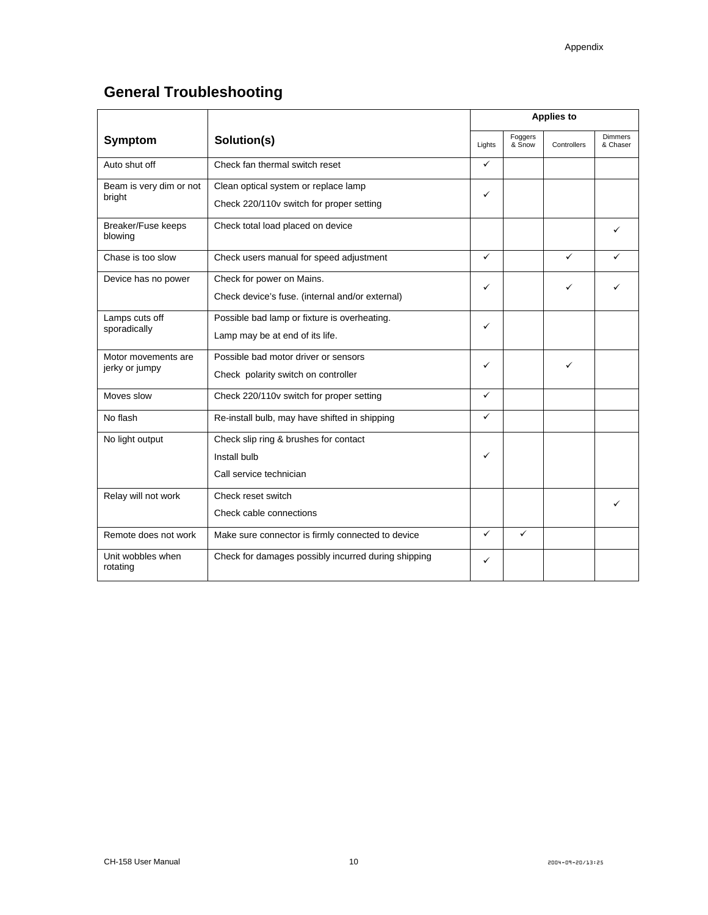## <span id="page-9-0"></span>**General Troubleshooting**

|                                       | Solution(s)                                                                      | <b>Applies to</b> |                   |             |                            |
|---------------------------------------|----------------------------------------------------------------------------------|-------------------|-------------------|-------------|----------------------------|
| Symptom                               |                                                                                  | Lights            | Foggers<br>& Snow | Controllers | <b>Dimmers</b><br>& Chaser |
| Auto shut off                         | Check fan thermal switch reset                                                   | ✓                 |                   |             |                            |
| Beam is very dim or not<br>bright     | Clean optical system or replace lamp<br>Check 220/110v switch for proper setting | ✓                 |                   |             |                            |
| Breaker/Fuse keeps<br>blowing         | Check total load placed on device                                                |                   |                   |             | ✓                          |
| Chase is too slow                     | Check users manual for speed adjustment                                          | ✓                 |                   | ✓           |                            |
| Device has no power                   | Check for power on Mains.<br>Check device's fuse. (internal and/or external)     | ✓                 |                   | ✓           |                            |
| Lamps cuts off<br>sporadically        | Possible bad lamp or fixture is overheating.<br>Lamp may be at end of its life.  | ✓                 |                   |             |                            |
| Motor movements are<br>jerky or jumpy | Possible bad motor driver or sensors<br>Check polarity switch on controller      | ✓                 |                   | ✓           |                            |
| Moves slow                            | Check 220/110v switch for proper setting                                         | ✓                 |                   |             |                            |
| No flash                              | Re-install bulb, may have shifted in shipping                                    | ✓                 |                   |             |                            |
| No light output                       | Check slip ring & brushes for contact<br>Install bulb<br>Call service technician | ✓                 |                   |             |                            |
| Relay will not work                   | Check reset switch<br>Check cable connections                                    |                   |                   |             |                            |
| Remote does not work                  | Make sure connector is firmly connected to device                                | ✓                 | $\checkmark$      |             |                            |
| Unit wobbles when<br>rotating         | Check for damages possibly incurred during shipping                              | ✓                 |                   |             |                            |